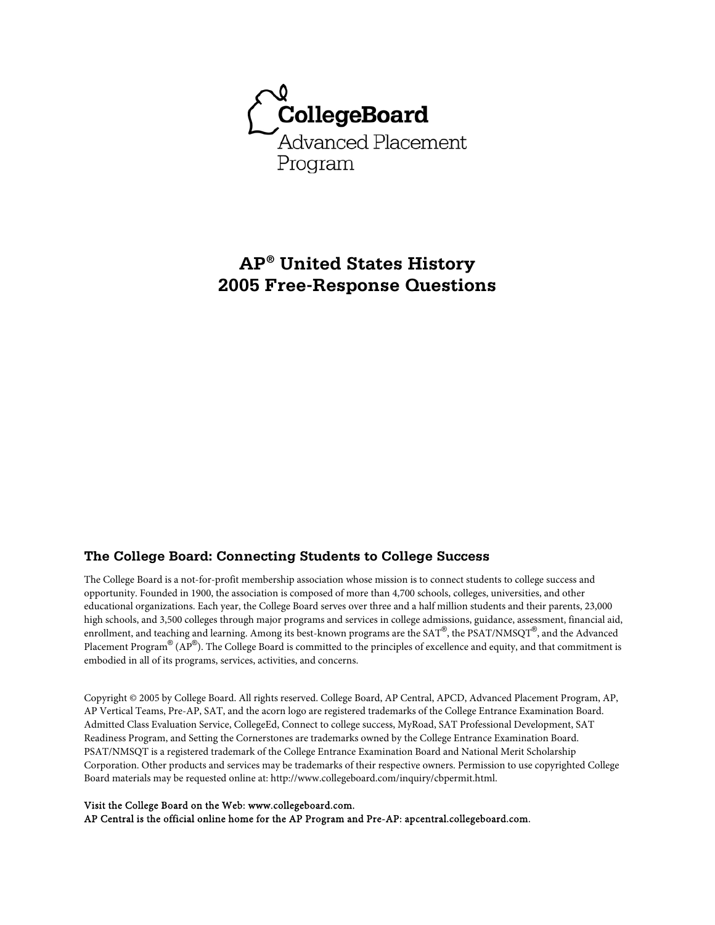

# **AP® United States History 2005 Free-Response Questions**

### **The College Board: Connecting Students to College Success**

The College Board is a not-for-profit membership association whose mission is to connect students to college success and opportunity. Founded in 1900, the association is composed of more than 4,700 schools, colleges, universities, and other educational organizations. Each year, the College Board serves over three and a half million students and their parents, 23,000 high schools, and 3,500 colleges through major programs and services in college admissions, guidance, assessment, financial aid, enrollment, and teaching and learning. Among its best-known programs are the SAT®, the PSAT/NMSQT®, and the Advanced Placement Program $^\circledR$  (AP $^\circledR$ ). The College Board is committed to the principles of excellence and equity, and that commitment is embodied in all of its programs, services, activities, and concerns.

Copyright © 2005 by College Board. All rights reserved. College Board, AP Central, APCD, Advanced Placement Program, AP, AP Vertical Teams, Pre-AP, SAT, and the acorn logo are registered trademarks of the College Entrance Examination Board. Admitted Class Evaluation Service, CollegeEd, Connect to college success, MyRoad, SAT Professional Development, SAT Readiness Program, and Setting the Cornerstones are trademarks owned by the College Entrance Examination Board. PSAT/NMSQT is a registered trademark of the College Entrance Examination Board and National Merit Scholarship Corporation. Other products and services may be trademarks of their respective owners. Permission to use copyrighted College Board materials may be requested online at: http://www.collegeboard.com/inquiry/cbpermit.html.

#### Visit the College Board on the Web: www.collegeboard.com.

AP Central is the official online home for the AP Program and Pre-AP: apcentral.collegeboard.com.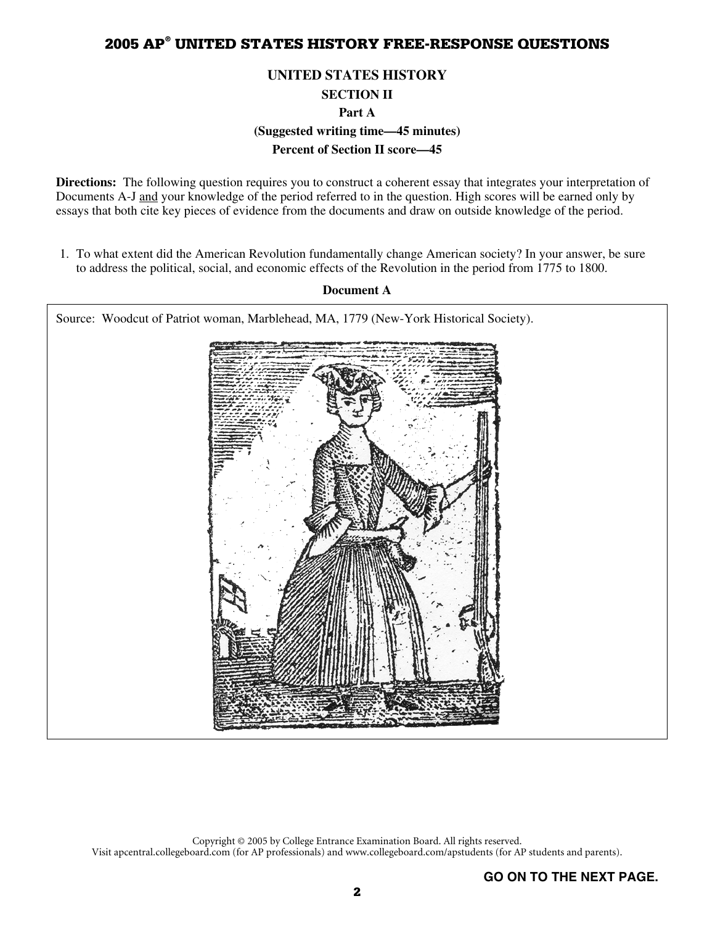### **UNITED STATES HISTORY**

**SECTION II** 

**Part A** 

**(Suggested writing time—45 minutes)** 

**Percent of Section II score—45** 

**Directions:** The following question requires you to construct a coherent essay that integrates your interpretation of Documents A-J and your knowledge of the period referred to in the question. High scores will be earned only by essays that both cite key pieces of evidence from the documents and draw on outside knowledge of the period.

 1. To what extent did the American Revolution fundamentally change American society? In your answer, be sure to address the political, social, and economic effects of the Revolution in the period from 1775 to 1800.

**Document A** 



Copyright © 2005 by College Entrance Examination Board. All rights reserved. Visit apcentral.collegeboard.com (for AP professionals) and www.collegeboard.com/apstudents (for AP students and parents).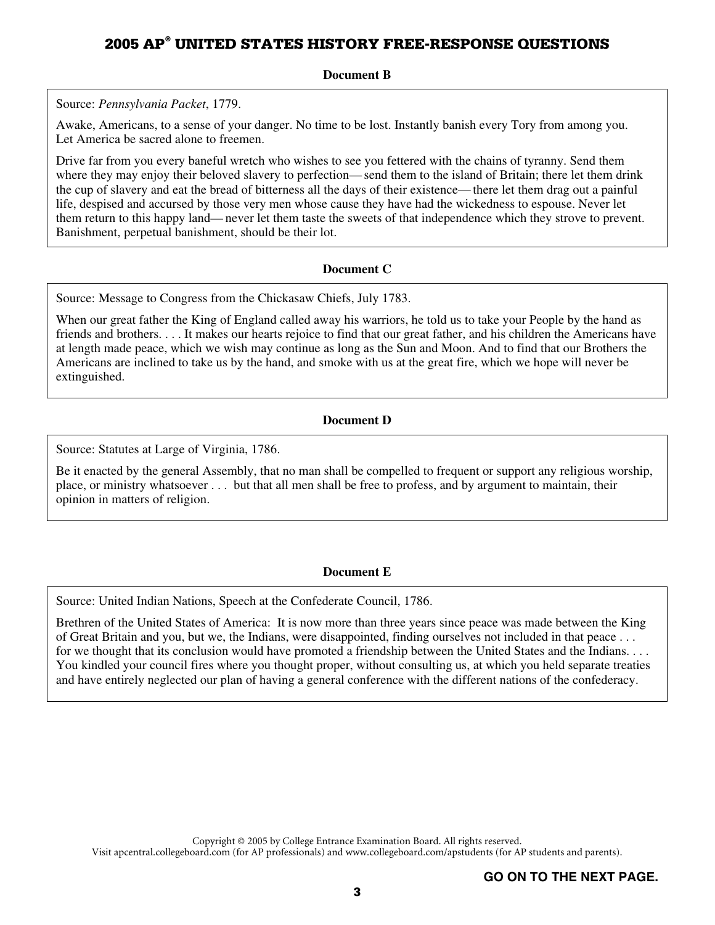**Document B** 

Source: *Pennsylvania Packet*, 1779.

Awake, Americans, to a sense of your danger. No time to be lost. Instantly banish every Tory from among you. Let America be sacred alone to freemen.

Drive far from you every baneful wretch who wishes to see you fettered with the chains of tyranny. Send them where they may enjoy their beloved slavery to perfection—send them to the island of Britain; there let them drink the cup of slavery and eat the bread of bitterness all the days of their existence— there let them drag out a painful life, despised and accursed by those very men whose cause they have had the wickedness to espouse. Never let them return to this happy land— never let them taste the sweets of that independence which they strove to prevent. Banishment, perpetual banishment, should be their lot.

#### **Document C**

Source: Message to Congress from the Chickasaw Chiefs, July 1783.

When our great father the King of England called away his warriors, he told us to take your People by the hand as friends and brothers. . . . It makes our hearts rejoice to find that our great father, and his children the Americans have at length made peace, which we wish may continue as long as the Sun and Moon. And to find that our Brothers the Americans are inclined to take us by the hand, and smoke with us at the great fire, which we hope will never be extinguished.

#### **Document D**

Source: Statutes at Large of Virginia, 1786.

Be it enacted by the general Assembly, that no man shall be compelled to frequent or support any religious worship, place, or ministry whatsoever . . . but that all men shall be free to profess, and by argument to maintain, their opinion in matters of religion.

#### **Document E**

Source: United Indian Nations, Speech at the Confederate Council, 1786.

Brethren of the United States of America: It is now more than three years since peace was made between the King of Great Britain and you, but we, the Indians, were disappointed, finding ourselves not included in that peace . . . for we thought that its conclusion would have promoted a friendship between the United States and the Indians. . . . You kindled your council fires where you thought proper, without consulting us, at which you held separate treaties and have entirely neglected our plan of having a general conference with the different nations of the confederacy.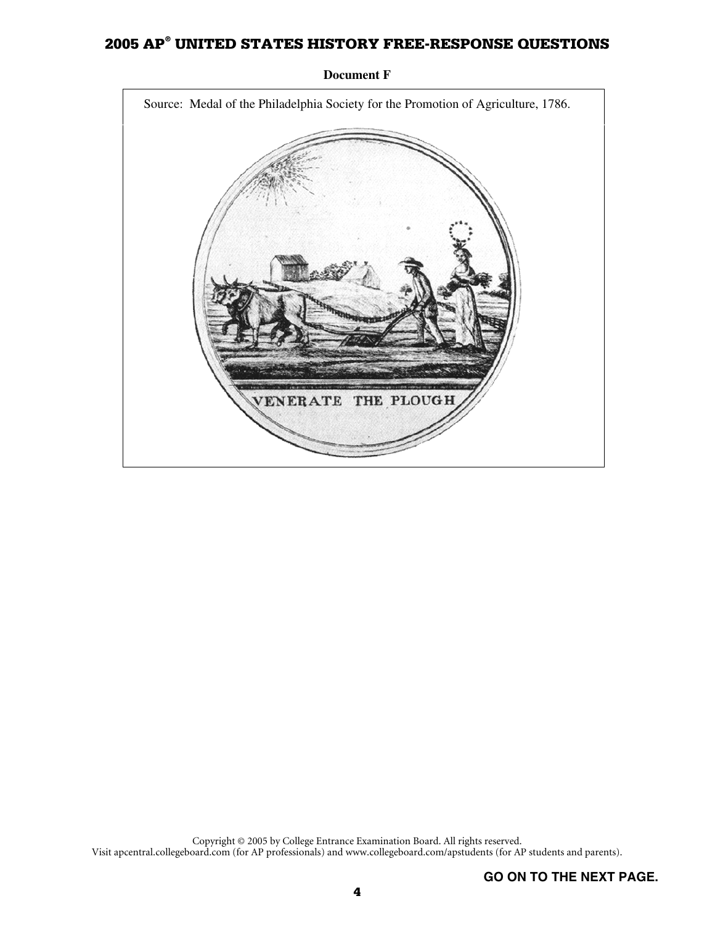

**Document F**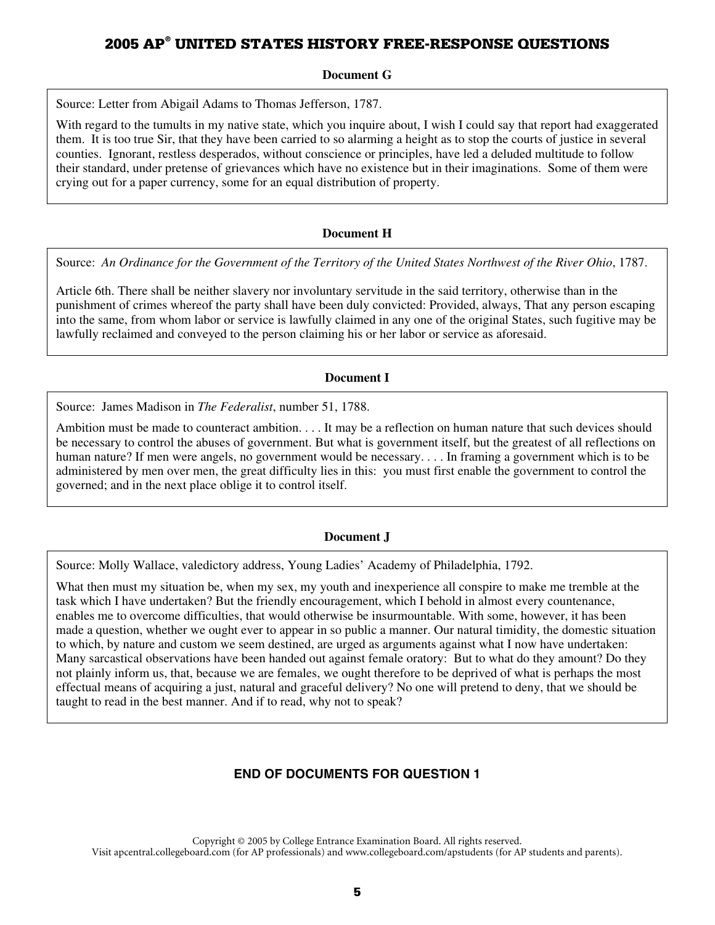#### **Document G**

Source: Letter from Abigail Adams to Thomas Jefferson, 1787.

With regard to the tumults in my native state, which you inquire about, I wish I could say that report had exaggerated them. It is too true Sir, that they have been carried to so alarming a height as to stop the courts of justice in several counties. Ignorant, restless desperados, without conscience or principles, have led a deluded multitude to follow their standard, under pretense of grievances which have no existence but in their imaginations. Some of them were crying out for a paper currency, some for an equal distribution of property.

#### **Document H**

Source: *An Ordinance for the Government of the Territory of the United States Northwest of the River Ohio*, 1787.

Article 6th. There shall be neither slavery nor involuntary servitude in the said territory, otherwise than in the punishment of crimes whereof the party shall have been duly convicted: Provided, always, That any person escaping into the same, from whom labor or service is lawfully claimed in any one of the original States, such fugitive may be lawfully reclaimed and conveyed to the person claiming his or her labor or service as aforesaid.

#### **Document I**

Source: James Madison in *The Federalist*, number 51, 1788.

Ambition must be made to counteract ambition. . . . It may be a reflection on human nature that such devices should be necessary to control the abuses of government. But what is government itself, but the greatest of all reflections on human nature? If men were angels, no government would be necessary. . . . In framing a government which is to be administered by men over men, the great difficulty lies in this: you must first enable the government to control the governed; and in the next place oblige it to control itself.

#### **Document J**

Source: Molly Wallace, valedictory address, Young Ladies' Academy of Philadelphia, 1792.

What then must my situation be, when my sex, my youth and inexperience all conspire to make me tremble at the task which I have undertaken? But the friendly encouragement, which I behold in almost every countenance, enables me to overcome difficulties, that would otherwise be insurmountable. With some, however, it has been made a question, whether we ought ever to appear in so public a manner. Our natural timidity, the domestic situation to which, by nature and custom we seem destined, are urged as arguments against what I now have undertaken: Many sarcastical observations have been handed out against female oratory: But to what do they amount? Do they not plainly inform us, that, because we are females, we ought therefore to be deprived of what is perhaps the most effectual means of acquiring a just, natural and graceful delivery? No one will pretend to deny, that we should be taught to read in the best manner. And if to read, why not to speak?

### **END OF DOCUMENTS FOR QUESTION 1**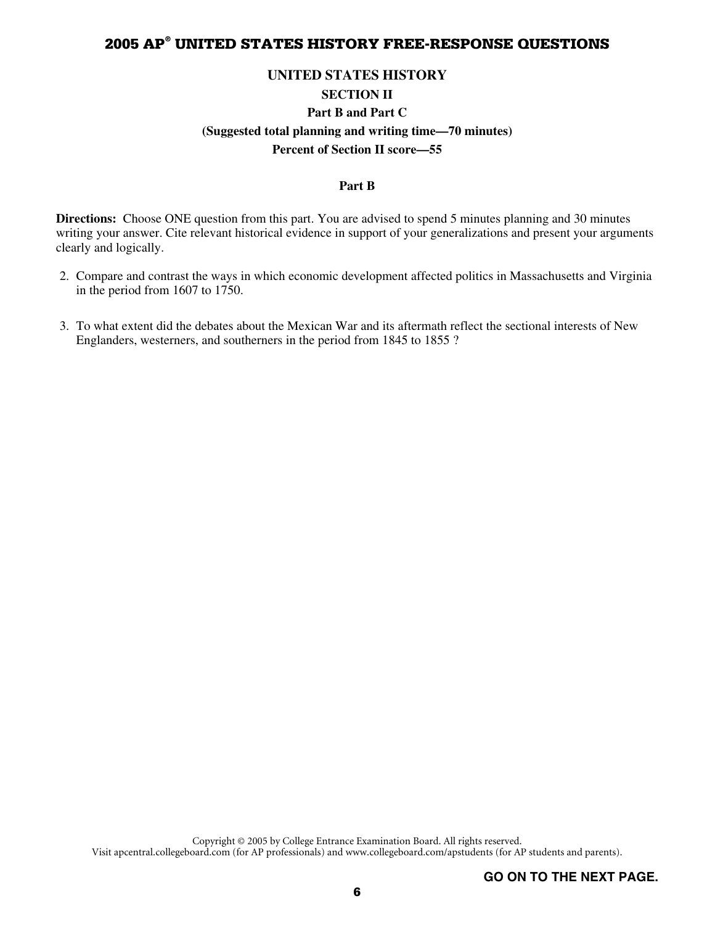#### **UNITED STATES HISTORY**

#### **SECTION II**

### **Part B and Part C (Suggested total planning and writing time—70 minutes) Percent of Section II score—55**

#### **Part B**

**Directions:** Choose ONE question from this part. You are advised to spend 5 minutes planning and 30 minutes writing your answer. Cite relevant historical evidence in support of your generalizations and present your arguments clearly and logically.

- 2. Compare and contrast the ways in which economic development affected politics in Massachusetts and Virginia in the period from 1607 to 1750.
- 3. To what extent did the debates about the Mexican War and its aftermath reflect the sectional interests of New Englanders, westerners, and southerners in the period from 1845 to 1855 ?